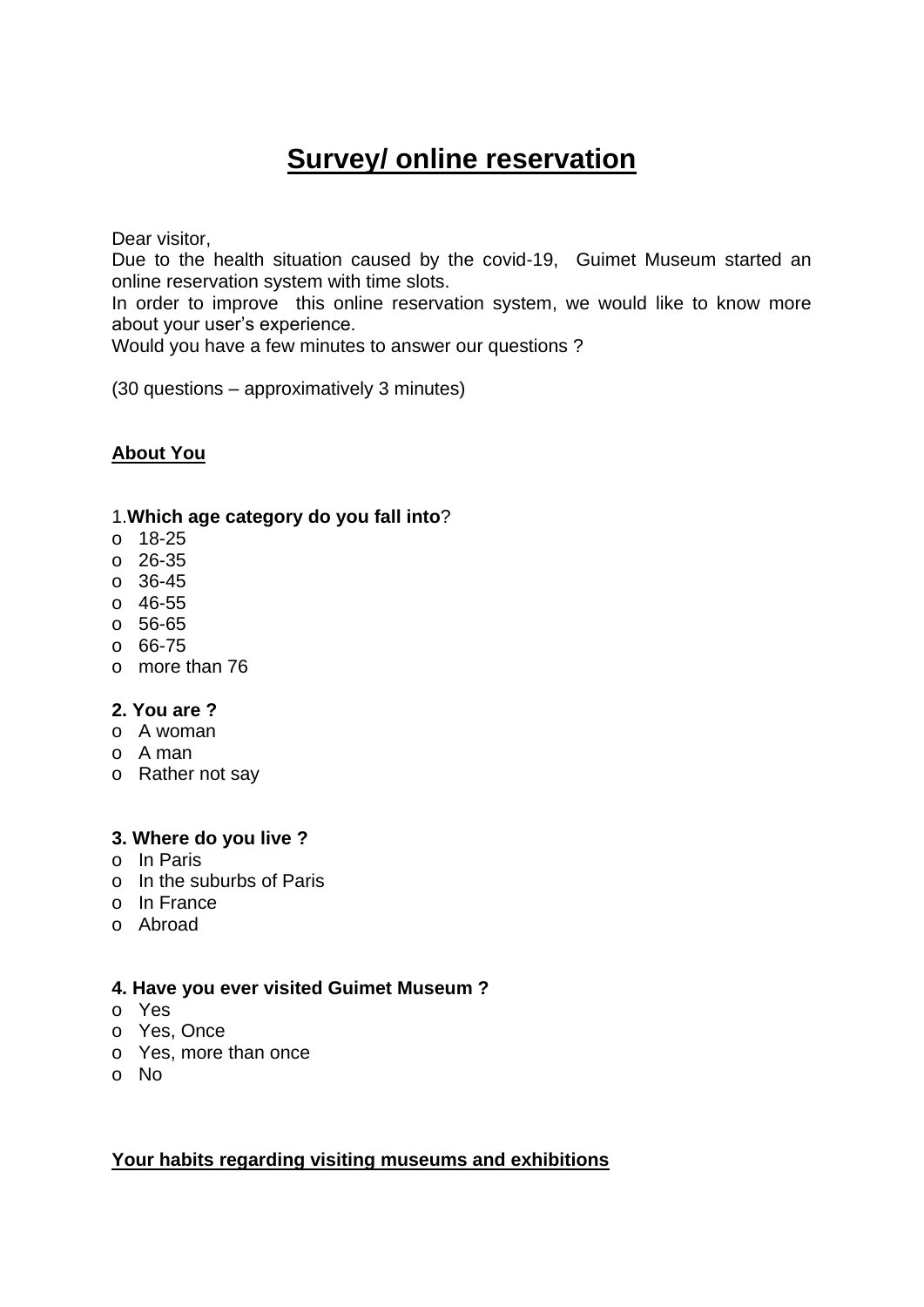# **Survey/ online reservation**

Dear visitor,

Due to the health situation caused by the covid-19, Guimet Museum started an online reservation system with time slots.

In order to improve this online reservation system, we would like to know more about your user's experience.

Would you have a few minutes to answer our questions ?

(30 questions – approximatively 3 minutes)

## **About You**

#### 1.**Which age category do you fall into**?

- o 18-25
- o 26-35
- o 36-45
- o 46-55
- o 56-65
- o 66-75
- o more than 76

#### **2. You are ?**

- o A woman
- o A man
- o Rather not say

#### **3. Where do you live ?**

- o In Paris
- o In the suburbs of Paris
- o In France
- o Abroad

#### **4. Have you ever visited Guimet Museum ?**

- o Yes
- o Yes, Once
- o Yes, more than once
- o No

#### **Your habits regarding visiting museums and exhibitions**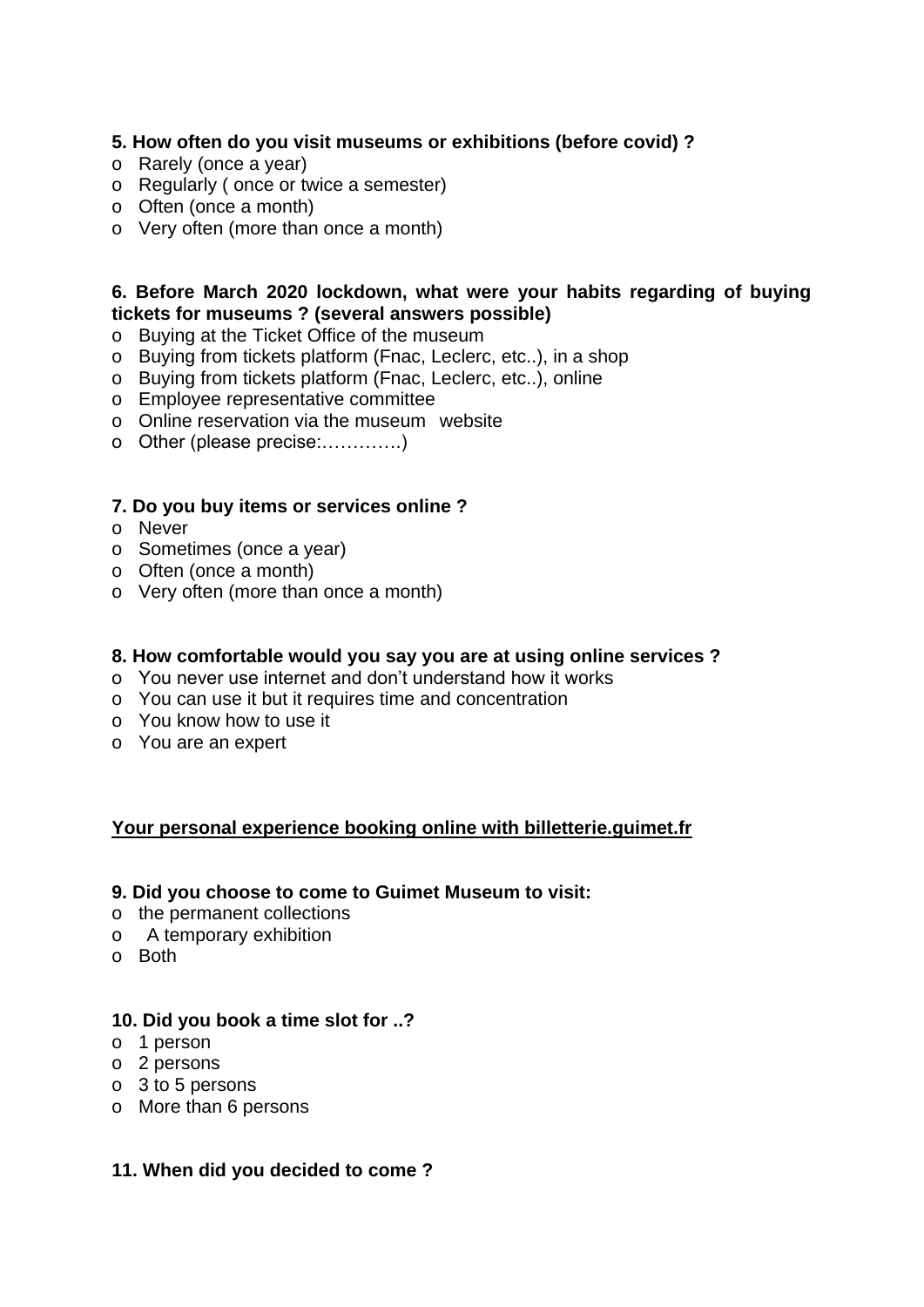# **5. How often do you visit museums or exhibitions (before covid) ?**

- o Rarely (once a year)
- o Regularly ( once or twice a semester)
- o Often (once a month)
- o Very often (more than once a month)

## **6. Before March 2020 lockdown, what were your habits regarding of buying tickets for museums ? (several answers possible)**

- o Buying at the Ticket Office of the museum
- o Buying from tickets platform (Fnac, Leclerc, etc..), in a shop
- o Buying from tickets platform (Fnac, Leclerc, etc..), online
- o Employee representative committee
- o Online reservation via the museum website
- o Other (please precise:………….)

## **7. Do you buy items or services online ?**

- o Never
- o Sometimes (once a year)
- o Often (once a month)
- o Very often (more than once a month)

#### **8. How comfortable would you say you are at using online services ?**

- o You never use internet and don't understand how it works
- o You can use it but it requires time and concentration
- o You know how to use it
- o You are an expert

## **Your personal experience booking online with billetterie.guimet.fr**

#### **9. Did you choose to come to Guimet Museum to visit:**

- o the permanent collections
- o A temporary exhibition
- o Both

#### **10. Did you book a time slot for ..?**

- o 1 person
- o 2 persons
- o 3 to 5 persons
- o More than 6 persons

#### **11. When did you decided to come ?**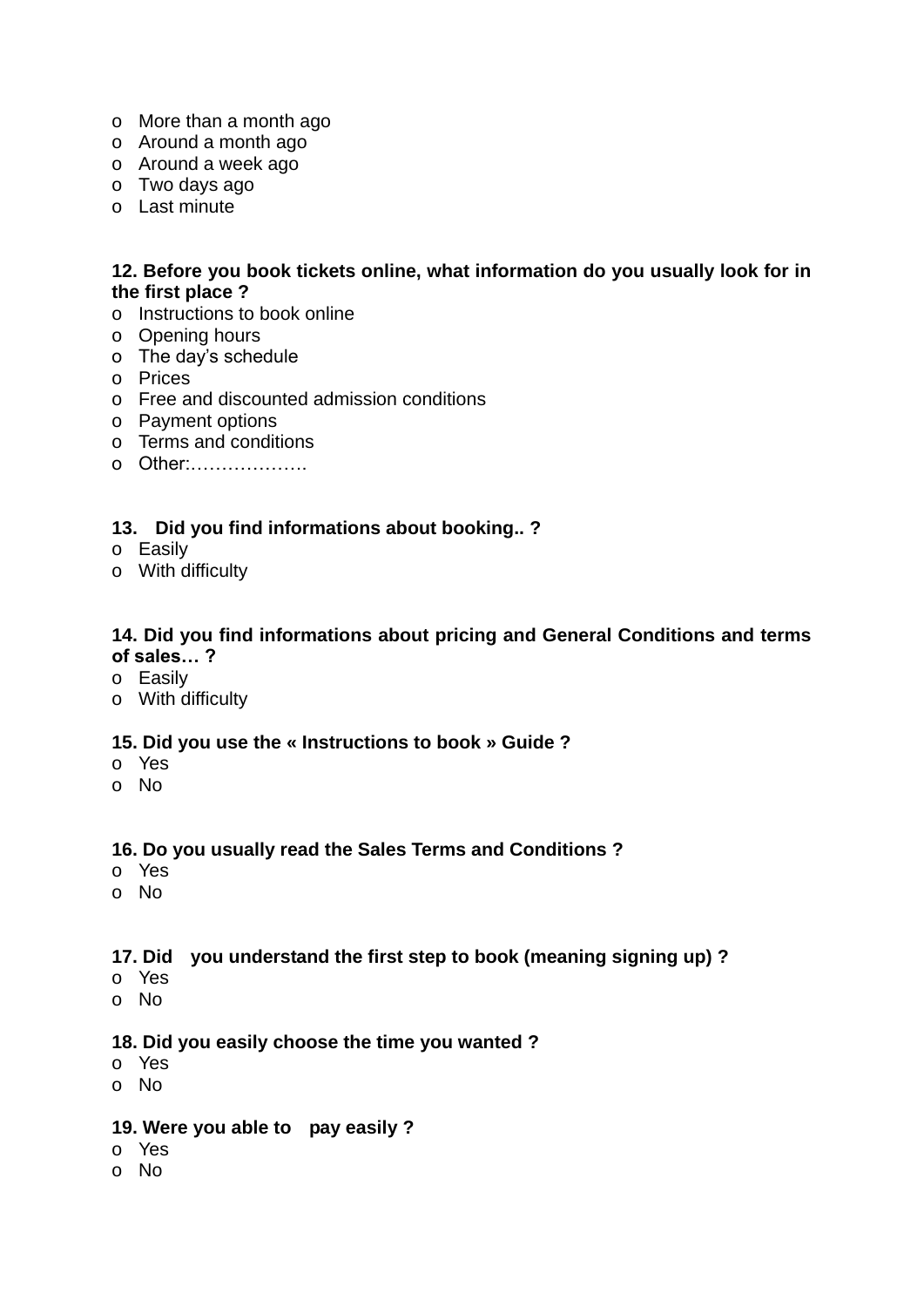- o More than a month ago
- o Around a month ago
- o Around a week ago
- o Two days ago
- o Last minute

## **12. Before you book tickets online, what information do you usually look for in the first place ?**

- o Instructions to book online
- o Opening hours
- o The day's schedule
- o Prices
- o Free and discounted admission conditions
- o Payment options
- o Terms and conditions
- o Other:……………….

## **13. Did you find informations about booking.. ?**

- o Easily
- o With difficulty

### **14. Did you find informations about pricing and General Conditions and terms of sales… ?**

- o Easily
- o With difficulty

## **15. Did you use the « Instructions to book » Guide ?**

- o Yes
- o No

#### **16. Do you usually read the Sales Terms and Conditions ?**

- o Yes
- o No

#### **17. Did you understand the first step to book (meaning signing up) ?**

- o Yes
- o No

# **18. Did you easily choose the time you wanted ?**

- o Yes
- o No

# **19. Were you able to pay easily ?**

- o Yes
- o No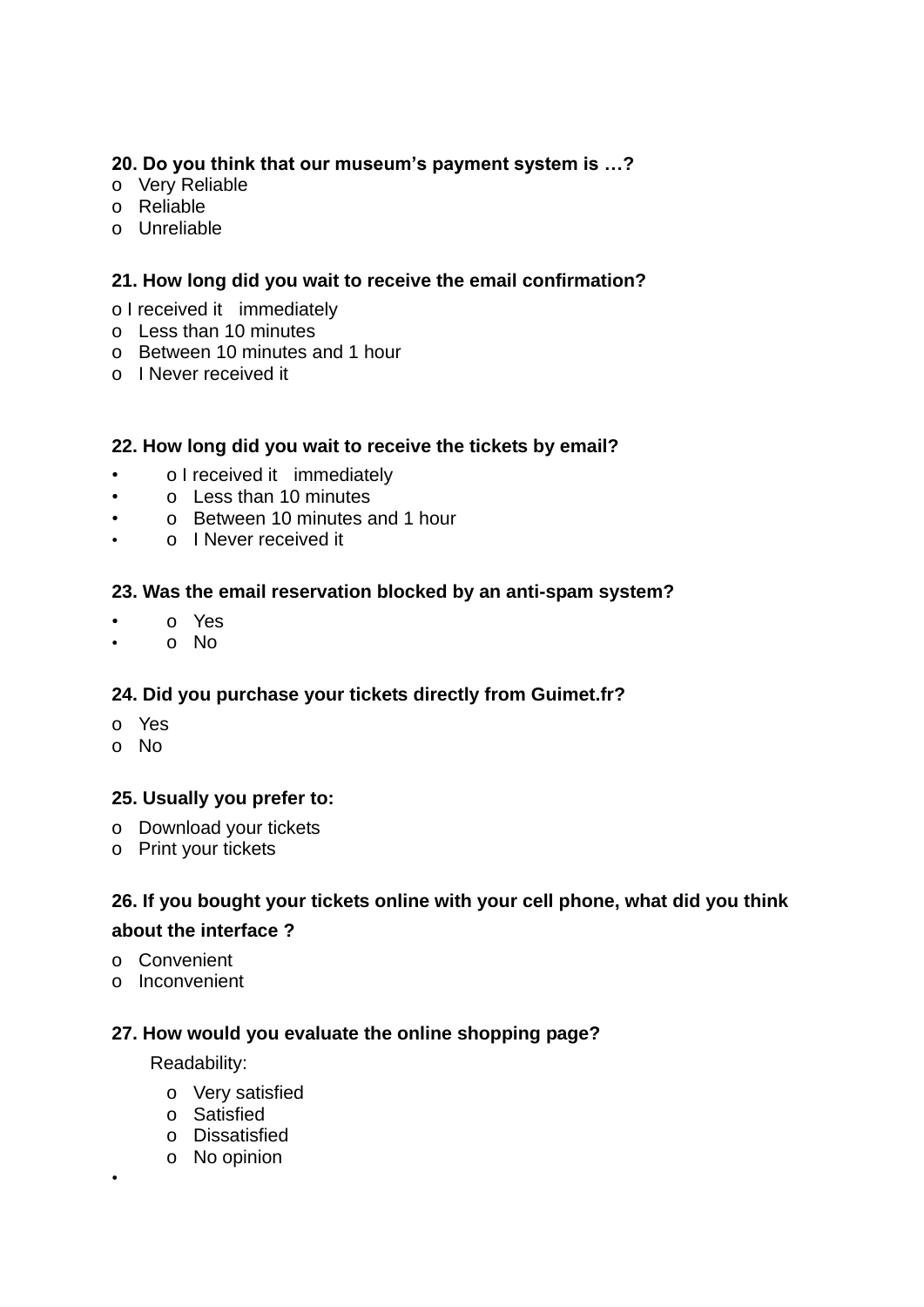# **20. Do you think that our museum's payment system is …?**

- o Very Reliable
- o Reliable
- o Unreliable

# **21. How long did you wait to receive the email confirmation?**

- o I received it immediately
- o Less than 10 minutes
- o Between 10 minutes and 1 hour
- o I Never received it

# **22. How long did you wait to receive the tickets by email?**

- o I received it immediately
- o Less than 10 minutes
- o Between 10 minutes and 1 hour
- o I Never received it

# **23. Was the email reservation blocked by an anti-spam system?**

- o Yes
- o No

# **24. Did you purchase your tickets directly from Guimet.fr?**

- o Yes
- o No

## **25. Usually you prefer to:**

- o Download your tickets
- o Print your tickets

# **26. If you bought your tickets online with your cell phone, what did you think about the interface ?**

o Convenient

•

o Inconvenient

# **27. How would you evaluate the online shopping page?**

Readability:

- o Very satisfied
- o Satisfied
- o Dissatisfied
- o No opinion